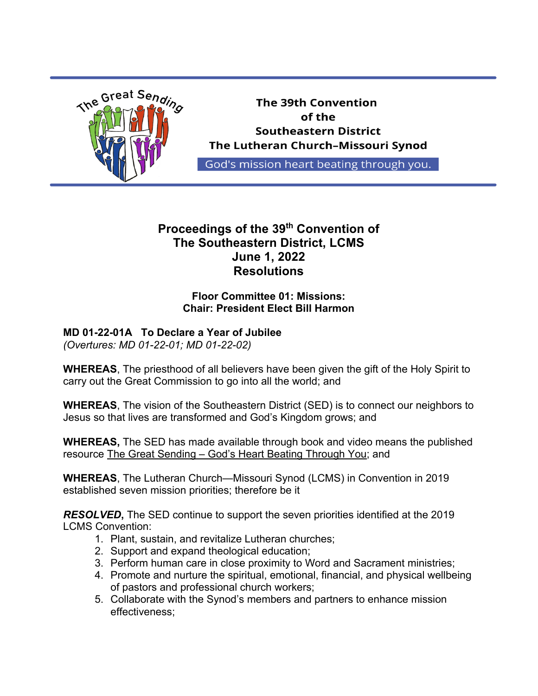

# **Proceedings of the 39th Convention of The Southeastern District, LCMS June 1, 2022 Resolutions**

### **Floor Committee 01: Missions: Chair: President Elect Bill Harmon**

# **MD 01-22-01A To Declare a Year of Jubilee**

*(Overtures: MD 01-22-01; MD 01-22-02)*

**WHEREAS**, The priesthood of all believers have been given the gift of the Holy Spirit to carry out the Great Commission to go into all the world; and

**WHEREAS**, The vision of the Southeastern District (SED) is to connect our neighbors to Jesus so that lives are transformed and God's Kingdom grows; and

**WHEREAS,** The SED has made available through book and video means the published resource The Great Sending – God's Heart Beating Through You; and

**WHEREAS**, The Lutheran Church—Missouri Synod (LCMS) in Convention in 2019 established seven mission priorities; therefore be it

*RESOLVED***,** The SED continue to support the seven priorities identified at the 2019 LCMS Convention:

- 1. Plant, sustain, and revitalize Lutheran churches;
- 2. Support and expand theological education;
- 3. Perform human care in close proximity to Word and Sacrament ministries;
- 4. Promote and nurture the spiritual, emotional, financial, and physical wellbeing of pastors and professional church workers;
- 5. Collaborate with the Synod's members and partners to enhance mission effectiveness;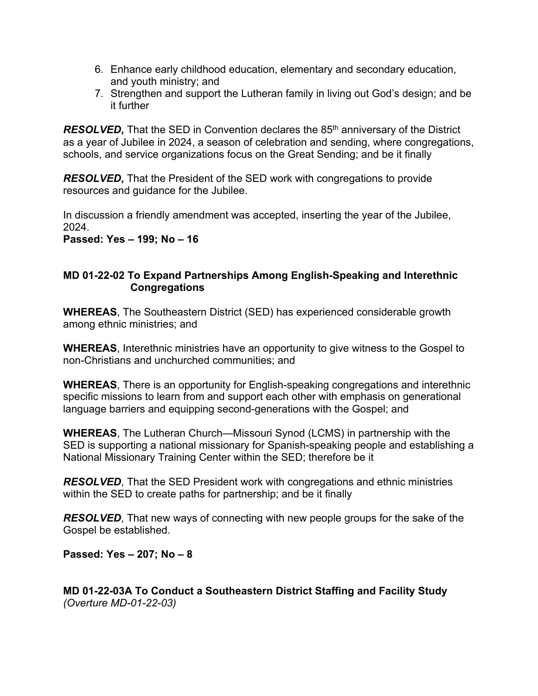- 6. Enhance early childhood education, elementary and secondary education, and youth ministry; and
- 7. Strengthen and support the Lutheran family in living out God's design; and be it further

*RESOLVED*, That the SED in Convention declares the 85<sup>th</sup> anniversary of the District as a year of Jubilee in 2024, a season of celebration and sending, where congregations, schools, and service organizations focus on the Great Sending; and be it finally

*RESOLVED***,** That the President of the SED work with congregations to provide resources and guidance for the Jubilee.

In discussion a friendly amendment was accepted, inserting the year of the Jubilee, 2024.

**Passed: Yes – 199; No – 16**

#### **MD 01-22-02 To Expand Partnerships Among English-Speaking and Interethnic Congregations**

**WHEREAS**, The Southeastern District (SED) has experienced considerable growth among ethnic ministries; and

**WHEREAS**, Interethnic ministries have an opportunity to give witness to the Gospel to non-Christians and unchurched communities; and

**WHEREAS**, There is an opportunity for English-speaking congregations and interethnic specific missions to learn from and support each other with emphasis on generational language barriers and equipping second-generations with the Gospel; and

**WHEREAS**, The Lutheran Church—Missouri Synod (LCMS) in partnership with the SED is supporting a national missionary for Spanish-speaking people and establishing a National Missionary Training Center within the SED; therefore be it

*RESOLVED*, That the SED President work with congregations and ethnic ministries within the SED to create paths for partnership; and be it finally

*RESOLVED*, That new ways of connecting with new people groups for the sake of the Gospel be established.

**Passed: Yes – 207; No – 8**

**MD 01-22-03A To Conduct a Southeastern District Staffing and Facility Study** *(Overture MD-01-22-03)*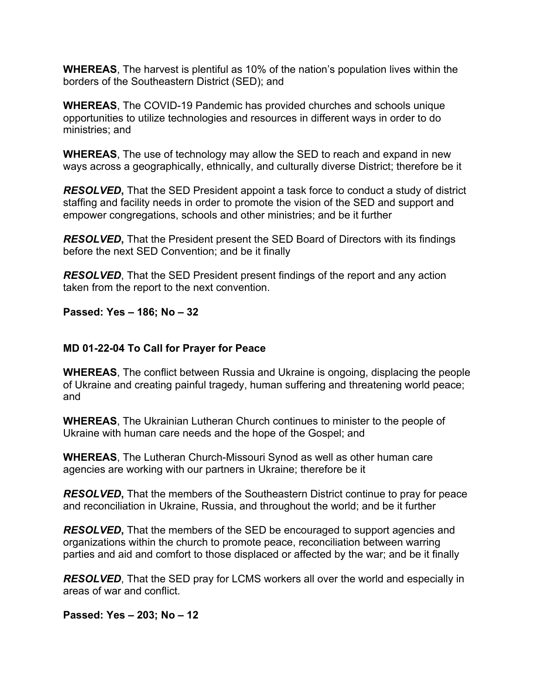**WHEREAS**, The harvest is plentiful as 10% of the nation's population lives within the borders of the Southeastern District (SED); and

**WHEREAS**, The COVID-19 Pandemic has provided churches and schools unique opportunities to utilize technologies and resources in different ways in order to do ministries; and

**WHEREAS**, The use of technology may allow the SED to reach and expand in new ways across a geographically, ethnically, and culturally diverse District; therefore be it

*RESOLVED***,** That the SED President appoint a task force to conduct a study of district staffing and facility needs in order to promote the vision of the SED and support and empower congregations, schools and other ministries; and be it further

*RESOLVED***,** That the President present the SED Board of Directors with its findings before the next SED Convention; and be it finally

*RESOLVED*, That the SED President present findings of the report and any action taken from the report to the next convention.

**Passed: Yes – 186; No – 32**

### **MD 01-22-04 To Call for Prayer for Peace**

**WHEREAS**, The conflict between Russia and Ukraine is ongoing, displacing the people of Ukraine and creating painful tragedy, human suffering and threatening world peace; and

**WHEREAS**, The Ukrainian Lutheran Church continues to minister to the people of Ukraine with human care needs and the hope of the Gospel; and

**WHEREAS**, The Lutheran Church-Missouri Synod as well as other human care agencies are working with our partners in Ukraine; therefore be it

*RESOLVED***,** That the members of the Southeastern District continue to pray for peace and reconciliation in Ukraine, Russia, and throughout the world; and be it further

*RESOLVED***,** That the members of the SED be encouraged to support agencies and organizations within the church to promote peace, reconciliation between warring parties and aid and comfort to those displaced or affected by the war; and be it finally

*RESOLVED*, That the SED pray for LCMS workers all over the world and especially in areas of war and conflict.

**Passed: Yes – 203; No – 12**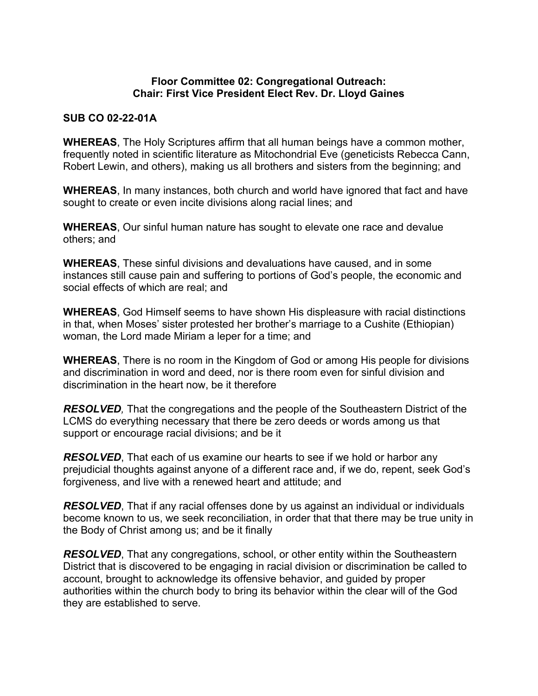#### **Floor Committee 02: Congregational Outreach: Chair: First Vice President Elect Rev. Dr. Lloyd Gaines**

### **SUB CO 02-22-01A**

**WHEREAS**, The Holy Scriptures affirm that all human beings have a common mother, frequently noted in scientific literature as Mitochondrial Eve (geneticists Rebecca Cann, Robert Lewin, and others), making us all brothers and sisters from the beginning; and

**WHEREAS**, In many instances, both church and world have ignored that fact and have sought to create or even incite divisions along racial lines; and

**WHEREAS**, Our sinful human nature has sought to elevate one race and devalue others; and

**WHEREAS**, These sinful divisions and devaluations have caused, and in some instances still cause pain and suffering to portions of God's people, the economic and social effects of which are real; and

**WHEREAS**, God Himself seems to have shown His displeasure with racial distinctions in that, when Moses' sister protested her brother's marriage to a Cushite (Ethiopian) woman, the Lord made Miriam a leper for a time; and

**WHEREAS**, There is no room in the Kingdom of God or among His people for divisions and discrimination in word and deed, nor is there room even for sinful division and discrimination in the heart now, be it therefore

*RESOLVED,* That the congregations and the people of the Southeastern District of the LCMS do everything necessary that there be zero deeds or words among us that support or encourage racial divisions; and be it

*RESOLVED*, That each of us examine our hearts to see if we hold or harbor any prejudicial thoughts against anyone of a different race and, if we do, repent, seek God's forgiveness, and live with a renewed heart and attitude; and

*RESOLVED*, That if any racial offenses done by us against an individual or individuals become known to us, we seek reconciliation, in order that that there may be true unity in the Body of Christ among us; and be it finally

*RESOLVED*, That any congregations, school, or other entity within the Southeastern District that is discovered to be engaging in racial division or discrimination be called to account, brought to acknowledge its offensive behavior, and guided by proper authorities within the church body to bring its behavior within the clear will of the God they are established to serve.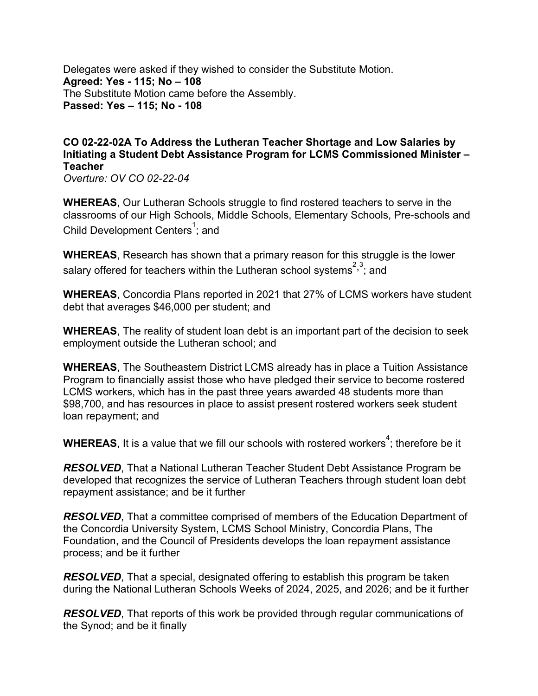Delegates were asked if they wished to consider the Substitute Motion. **Agreed: Yes - 115; No – 108** The Substitute Motion came before the Assembly. **Passed: Yes – 115; No - 108**

## **CO 02-22-02A To Address the Lutheran Teacher Shortage and Low Salaries by Initiating a Student Debt Assistance Program for LCMS Commissioned Minister – Teacher**

*Overture: OV CO 02-22-04* 

**WHEREAS**, Our Lutheran Schools struggle to find rostered teachers to serve in the classrooms of our High Schools, Middle Schools, Elementary Schools, Pre-schools and Child Development Centers<sup>1</sup>; and

**WHEREAS**, Research has shown that a primary reason for this struggle is the lower salary offered for teachers within the Lutheran school systems<sup>2,3</sup>; and

**WHEREAS**, Concordia Plans reported in 2021 that 27% of LCMS workers have student debt that averages \$46,000 per student; and

**WHEREAS**, The reality of student loan debt is an important part of the decision to seek employment outside the Lutheran school; and

**WHEREAS**, The Southeastern District LCMS already has in place a Tuition Assistance Program to financially assist those who have pledged their service to become rostered LCMS workers, which has in the past three years awarded 48 students more than \$98,700, and has resources in place to assist present rostered workers seek student loan repayment; and

**WHEREAS**, It is a value that we fill our schools with rostered workers $^4$ ; therefore be it

*RESOLVED*, That a National Lutheran Teacher Student Debt Assistance Program be developed that recognizes the service of Lutheran Teachers through student loan debt repayment assistance; and be it further

*RESOLVED*, That a committee comprised of members of the Education Department of the Concordia University System, LCMS School Ministry, Concordia Plans, The Foundation, and the Council of Presidents develops the loan repayment assistance process; and be it further

*RESOLVED*, That a special, designated offering to establish this program be taken during the National Lutheran Schools Weeks of 2024, 2025, and 2026; and be it further

*RESOLVED*, That reports of this work be provided through regular communications of the Synod; and be it finally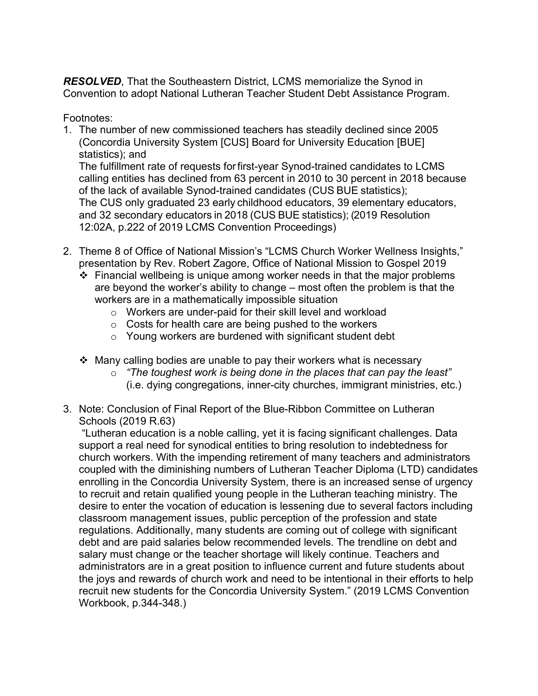*RESOLVED*, That the Southeastern District, LCMS memorialize the Synod in Convention to adopt National Lutheran Teacher Student Debt Assistance Program.

Footnotes:

1. The number of new commissioned teachers has steadily declined since 2005 (Concordia University System [CUS] Board for University Education [BUE] statistics); and

The fulfillment rate of requests forfirst-year Synod-trained candidates to LCMS calling entities has declined from 63 percent in 2010 to 30 percent in 2018 because of the lack of available Synod-trained candidates (CUS BUE statistics); The CUS only graduated 23 early childhood educators, 39 elementary educators, and 32 secondary educators in 2018 (CUS BUE statistics); (2019 Resolution 12:02A, p.222 of 2019 LCMS Convention Proceedings)

- 2. Theme 8 of Office of National Mission's "LCMS Church Worker Wellness Insights," presentation by Rev. Robert Zagore, Office of National Mission to Gospel 2019
	- $\div$  Financial wellbeing is unique among worker needs in that the major problems are beyond the worker's ability to change – most often the problem is that the workers are in a mathematically impossible situation
		- o Workers are under-paid for their skill level and workload
		- o Costs for health care are being pushed to the workers
		- o Young workers are burdened with significant student debt
	- $\cdot$  Many calling bodies are unable to pay their workers what is necessary
		- o *"The toughest work is being done in the places that can pay the least"*  (i.e. dying congregations, inner-city churches, immigrant ministries, etc.)
- 3. Note: Conclusion of Final Report of the Blue-Ribbon Committee on Lutheran Schools (2019 R.63)

"Lutheran education is a noble calling, yet it is facing significant challenges. Data support a real need for synodical entities to bring resolution to indebtedness for church workers. With the impending retirement of many teachers and administrators coupled with the diminishing numbers of Lutheran Teacher Diploma (LTD) candidates enrolling in the Concordia University System, there is an increased sense of urgency to recruit and retain qualified young people in the Lutheran teaching ministry. The desire to enter the vocation of education is lessening due to several factors including classroom management issues, public perception of the profession and state regulations. Additionally, many students are coming out of college with significant debt and are paid salaries below recommended levels. The trendline on debt and salary must change or the teacher shortage will likely continue. Teachers and administrators are in a great position to influence current and future students about the joys and rewards of church work and need to be intentional in their efforts to help recruit new students for the Concordia University System." (2019 LCMS Convention Workbook, p.344-348.)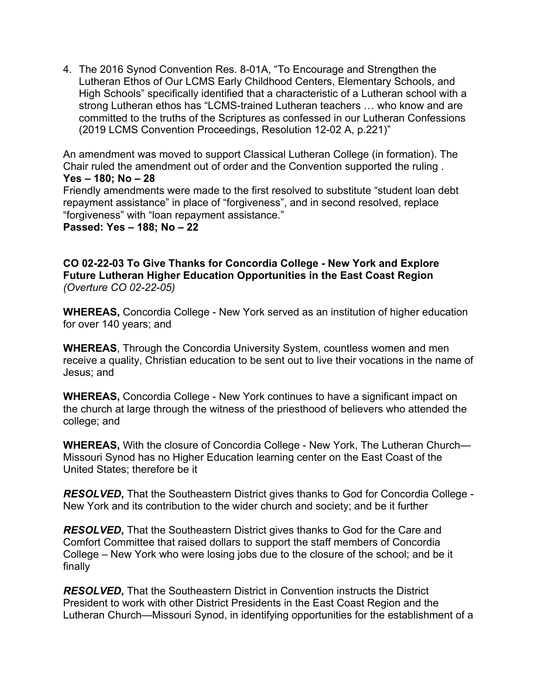4. The 2016 Synod Convention Res. 8-01A, "To Encourage and Strengthen the Lutheran Ethos of Our LCMS Early Childhood Centers, Elementary Schools, and High Schools" specifically identified that a characteristic of a Lutheran school with a strong Lutheran ethos has "LCMS-trained Lutheran teachers … who know and are committed to the truths of the Scriptures as confessed in our Lutheran Confessions (2019 LCMS Convention Proceedings, Resolution 12-02 A, p.221)"

An amendment was moved to support Classical Lutheran College (in formation). The Chair ruled the amendment out of order and the Convention supported the ruling . **Yes – 180; No – 28**

Friendly amendments were made to the first resolved to substitute "student loan debt repayment assistance" in place of "forgiveness", and in second resolved, replace "forgiveness" with "loan repayment assistance."

**Passed: Yes – 188; No – 22**

**CO 02-22-03 To Give Thanks for Concordia College - New York and Explore Future Lutheran Higher Education Opportunities in the East Coast Region** *(Overture CO 02-22-05)*

**WHEREAS,** Concordia College - New York served as an institution of higher education for over 140 years; and

**WHEREAS**, Through the Concordia University System, countless women and men receive a quality, Christian education to be sent out to live their vocations in the name of Jesus; and

**WHEREAS,** Concordia College - New York continues to have a significant impact on the church at large through the witness of the priesthood of believers who attended the college; and

**WHEREAS,** With the closure of Concordia College - New York, The Lutheran Church— Missouri Synod has no Higher Education learning center on the East Coast of the United States; therefore be it

*RESOLVED***,** That the Southeastern District gives thanks to God for Concordia College - New York and its contribution to the wider church and society; and be it further

*RESOLVED***,** That the Southeastern District gives thanks to God for the Care and Comfort Committee that raised dollars to support the staff members of Concordia College – New York who were losing jobs due to the closure of the school; and be it finally

*RESOLVED***,** That the Southeastern District in Convention instructs the District President to work with other District Presidents in the East Coast Region and the Lutheran Church—Missouri Synod, in identifying opportunities for the establishment of a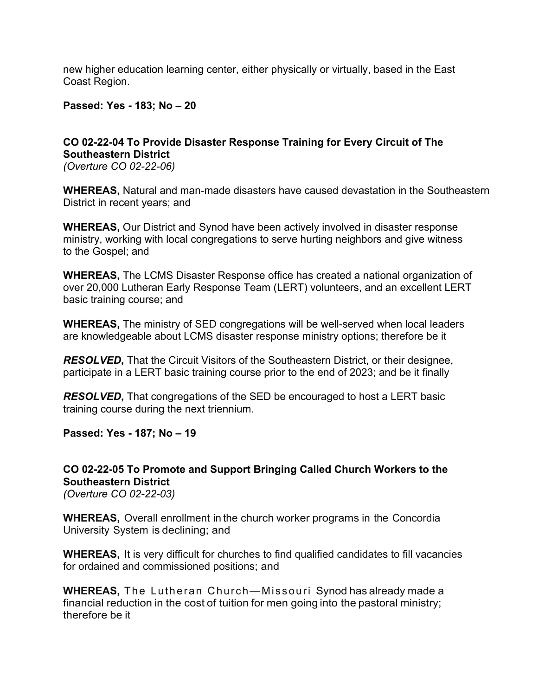new higher education learning center, either physically or virtually, based in the East Coast Region.

**Passed: Yes - 183; No – 20**

# **CO 02-22-04 To Provide Disaster Response Training for Every Circuit of The Southeastern District**

*(Overture CO 02-22-06)*

**WHEREAS,** Natural and man-made disasters have caused devastation in the Southeastern District in recent years; and

**WHEREAS,** Our District and Synod have been actively involved in disaster response ministry, working with local congregations to serve hurting neighbors and give witness to the Gospel; and

**WHEREAS,** The LCMS Disaster Response office has created a national organization of over 20,000 Lutheran Early Response Team (LERT) volunteers, and an excellent LERT basic training course; and

**WHEREAS,** The ministry of SED congregations will be well-served when local leaders are knowledgeable about LCMS disaster response ministry options; therefore be it

*RESOLVED***,** That the Circuit Visitors of the Southeastern District, or their designee, participate in a LERT basic training course prior to the end of 2023; and be it finally

*RESOLVED***,** That congregations of the SED be encouraged to host a LERT basic training course during the next triennium.

**Passed: Yes - 187; No – 19**

## **CO 02-22-05 To Promote and Support Bringing Called Church Workers to the Southeastern District**

*(Overture CO 02-22-03)*

**WHEREAS,** Overall enrollment in the church worker programs in the Concordia University System is declining; and

**WHEREAS,** It is very difficult for churches to find qualified candidates to fill vacancies for ordained and commissioned positions; and

**WHEREAS,** The Lutheran Church—Missouri Synod has already made a financial reduction in the cost of tuition for men going into the pastoral ministry; therefore be it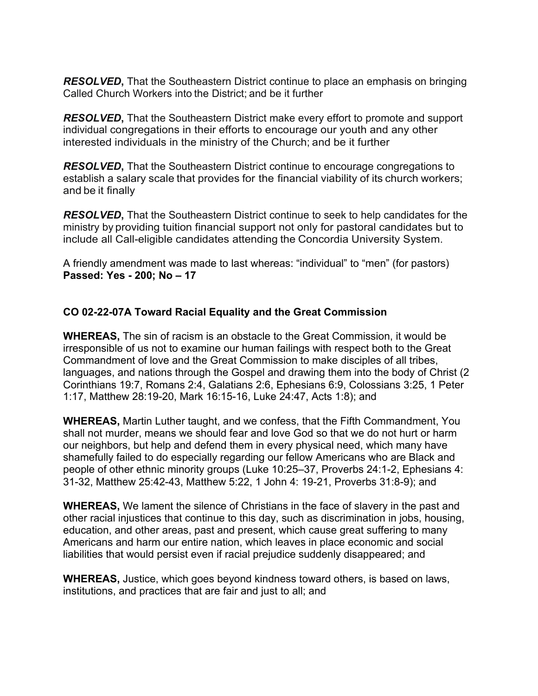*RESOLVED***,** That the Southeastern District continue to place an emphasis on bringing Called Church Workers into the District; and be it further

*RESOLVED***,** That the Southeastern District make every effort to promote and support individual congregations in their efforts to encourage our youth and any other interested individuals in the ministry of the Church; and be it further

*RESOLVED***,** That the Southeastern District continue to encourage congregations to establish a salary scale that provides for the financial viability of its church workers; and be it finally

*RESOLVED***,** That the Southeastern District continue to seek to help candidates for the ministry by providing tuition financial support not only for pastoral candidates but to include all Call-eligible candidates attending the Concordia University System.

A friendly amendment was made to last whereas: "individual" to "men" (for pastors) **Passed: Yes - 200; No – 17**

### **CO 02-22-07A Toward Racial Equality and the Great Commission**

**WHEREAS,** The sin of racism is an obstacle to the Great Commission, it would be irresponsible of us not to examine our human failings with respect both to the Great Commandment of love and the Great Commission to make disciples of all tribes, languages, and nations through the Gospel and drawing them into the body of Christ (2 Corinthians 19:7, Romans 2:4, Galatians 2:6, Ephesians 6:9, Colossians 3:25, 1 Peter 1:17, Matthew 28:19-20, Mark 16:15-16, Luke 24:47, Acts 1:8); and

**WHEREAS,** Martin Luther taught, and we confess, that the Fifth Commandment, You shall not murder, means we should fear and love God so that we do not hurt or harm our neighbors, but help and defend them in every physical need, which many have shamefully failed to do especially regarding our fellow Americans who are Black and people of other ethnic minority groups (Luke 10:25–37, Proverbs 24:1-2, Ephesians 4: 31-32, Matthew 25:42-43, Matthew 5:22, 1 John 4: 19-21, Proverbs 31:8-9); and

**WHEREAS,** We lament the silence of Christians in the face of slavery in the past and other racial injustices that continue to this day, such as discrimination in jobs, housing, education, and other areas, past and present, which cause great suffering to many Americans and harm our entire nation, which leaves in place economic and social liabilities that would persist even if racial prejudice suddenly disappeared; and

**WHEREAS,** Justice, which goes beyond kindness toward others, is based on laws, institutions, and practices that are fair and just to all; and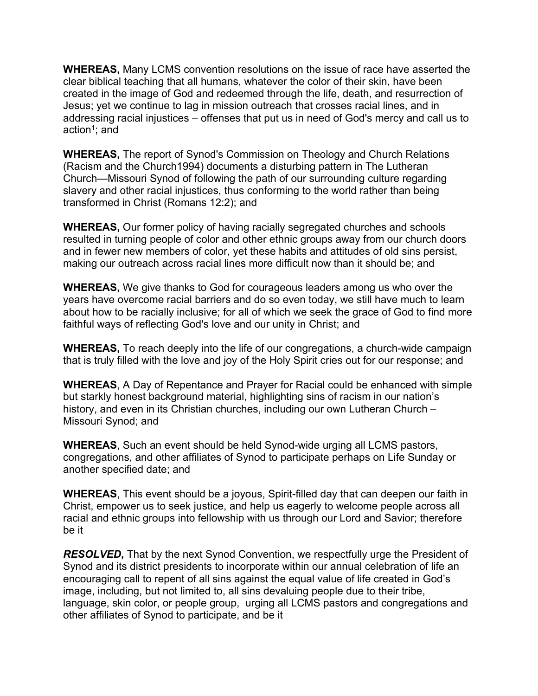**WHEREAS,** Many LCMS convention resolutions on the issue of race have asserted the clear biblical teaching that all humans, whatever the color of their skin, have been created in the image of God and redeemed through the life, death, and resurrection of Jesus; yet we continue to lag in mission outreach that crosses racial lines, and in addressing racial injustices – offenses that put us in need of God's mercy and call us to action<sup>1</sup>; and

**WHEREAS,** The report of Synod's Commission on Theology and Church Relations (Racism and the Church1994) documents a disturbing pattern in The Lutheran Church—Missouri Synod of following the path of our surrounding culture regarding slavery and other racial injustices, thus conforming to the world rather than being transformed in Christ (Romans 12:2); and

**WHEREAS,** Our former policy of having racially segregated churches and schools resulted in turning people of color and other ethnic groups away from our church doors and in fewer new members of color, yet these habits and attitudes of old sins persist, making our outreach across racial lines more difficult now than it should be; and

**WHEREAS,** We give thanks to God for courageous leaders among us who over the years have overcome racial barriers and do so even today, we still have much to learn about how to be racially inclusive; for all of which we seek the grace of God to find more faithful ways of reflecting God's love and our unity in Christ; and

**WHEREAS,** To reach deeply into the life of our congregations, a church-wide campaign that is truly filled with the love and joy of the Holy Spirit cries out for our response; and

**WHEREAS**, A Day of Repentance and Prayer for Racial could be enhanced with simple but starkly honest background material, highlighting sins of racism in our nation's history, and even in its Christian churches, including our own Lutheran Church – Missouri Synod; and

**WHEREAS**, Such an event should be held Synod-wide urging all LCMS pastors, congregations, and other affiliates of Synod to participate perhaps on Life Sunday or another specified date; and

**WHEREAS**, This event should be a joyous, Spirit-filled day that can deepen our faith in Christ, empower us to seek justice, and help us eagerly to welcome people across all racial and ethnic groups into fellowship with us through our Lord and Savior; therefore be it

*RESOLVED***,** That by the next Synod Convention, we respectfully urge the President of Synod and its district presidents to incorporate within our annual celebration of life an encouraging call to repent of all sins against the equal value of life created in God's image, including, but not limited to, all sins devaluing people due to their tribe, language, skin color, or people group, urging all LCMS pastors and congregations and other affiliates of Synod to participate, and be it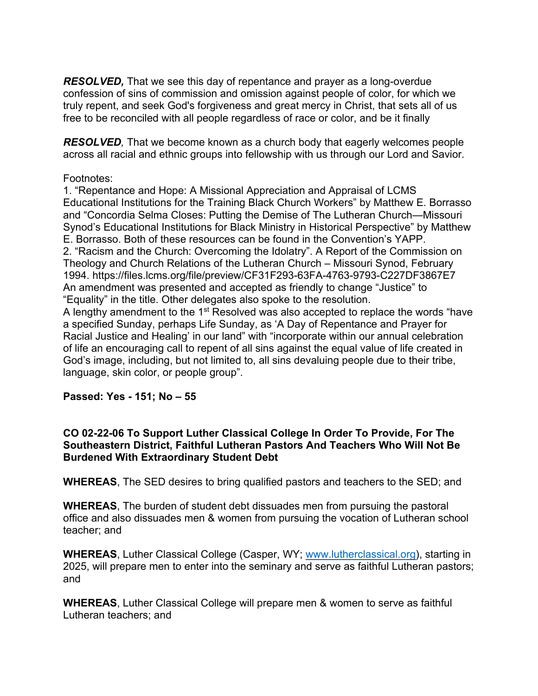*RESOLVED,* That we see this day of repentance and prayer as a long-overdue confession of sins of commission and omission against people of color, for which we truly repent, and seek God's forgiveness and great mercy in Christ, that sets all of us free to be reconciled with all people regardless of race or color, and be it finally

*RESOLVED,* That we become known as a church body that eagerly welcomes people across all racial and ethnic groups into fellowship with us through our Lord and Savior.

### Footnotes:

1. "Repentance and Hope: A Missional Appreciation and Appraisal of LCMS Educational Institutions for the Training Black Church Workers" by Matthew E. Borrasso and "Concordia Selma Closes: Putting the Demise of The Lutheran Church—Missouri Synod's Educational Institutions for Black Ministry in Historical Perspective" by Matthew E. Borrasso. Both of these resources can be found in the Convention's YAPP. 2. "Racism and the Church: Overcoming the Idolatry". A Report of the Commission on Theology and Church Relations of the Lutheran Church – Missouri Synod, February 1994. https://files.lcms.org/file/preview/CF31F293-63FA-4763-9793-C227DF3867E7 An amendment was presented and accepted as friendly to change "Justice" to "Equality" in the title. Other delegates also spoke to the resolution.

A lengthy amendment to the 1<sup>st</sup> Resolved was also accepted to replace the words "have a specified Sunday, perhaps Life Sunday, as 'A Day of Repentance and Prayer for Racial Justice and Healing' in our land" with "incorporate within our annual celebration of life an encouraging call to repent of all sins against the equal value of life created in God's image, including, but not limited to, all sins devaluing people due to their tribe, language, skin color, or people group".

## **Passed: Yes - 151; No – 55**

#### **CO 02-22-06 To Support Luther Classical College In Order To Provide, For The Southeastern District, Faithful Lutheran Pastors And Teachers Who Will Not Be Burdened With Extraordinary Student Debt**

**WHEREAS**, The SED desires to bring qualified pastors and teachers to the SED; and

**WHEREAS**, The burden of student debt dissuades men from pursuing the pastoral office and also dissuades men & women from pursuing the vocation of Lutheran school teacher; and

**WHEREAS**, Luther Classical College (Casper, WY; [www.lutherclassical.org](http://www.lutherclassical.org/)), starting in 2025, will prepare men to enter into the seminary and serve as faithful Lutheran pastors; and

**WHEREAS**, Luther Classical College will prepare men & women to serve as faithful Lutheran teachers; and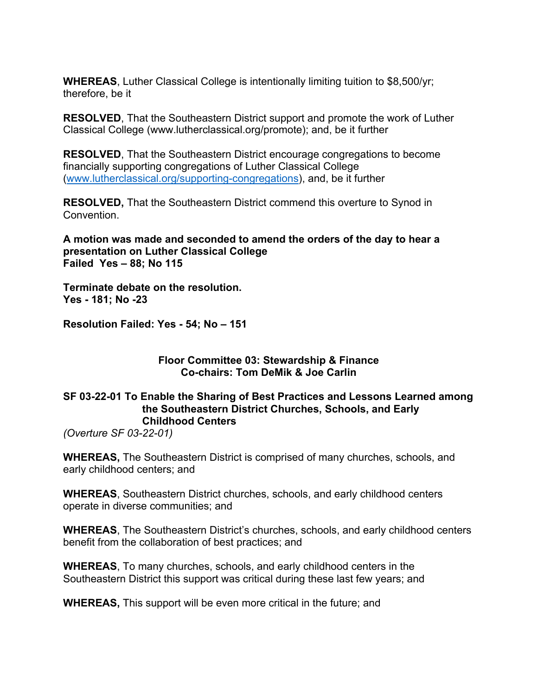**WHEREAS**, Luther Classical College is intentionally limiting tuition to \$8,500/yr; therefore, be it

**RESOLVED**, That the Southeastern District support and promote the work of Luther Classical College (www.lutherclassical.org/promote); and, be it further

**RESOLVED**, That the Southeastern District encourage congregations to become financially supporting congregations of Luther Classical College ([www.lutherclassical.org/supporting-congregations](http://www.lutherclassical.org/supporting-congregations)), and, be it further

**RESOLVED,** That the Southeastern District commend this overture to Synod in Convention.

**A motion was made and seconded to amend the orders of the day to hear a presentation on Luther Classical College Failed Yes – 88; No 115**

**Terminate debate on the resolution. Yes - 181; No -23**

**Resolution Failed: Yes - 54; No – 151**

#### **Floor Committee 03: Stewardship & Finance Co-chairs: Tom DeMik & Joe Carlin**

### **SF 03-22-01 To Enable the Sharing of Best Practices and Lessons Learned among the Southeastern District Churches, Schools, and Early Childhood Centers**

*(Overture SF 03-22-01)*

**WHEREAS,** The Southeastern District is comprised of many churches, schools, and early childhood centers; and

**WHEREAS**, Southeastern District churches, schools, and early childhood centers operate in diverse communities; and

**WHEREAS**, The Southeastern District's churches, schools, and early childhood centers benefit from the collaboration of best practices; and

**WHEREAS**, To many churches, schools, and early childhood centers in the Southeastern District this support was critical during these last few years; and

**WHEREAS,** This support will be even more critical in the future; and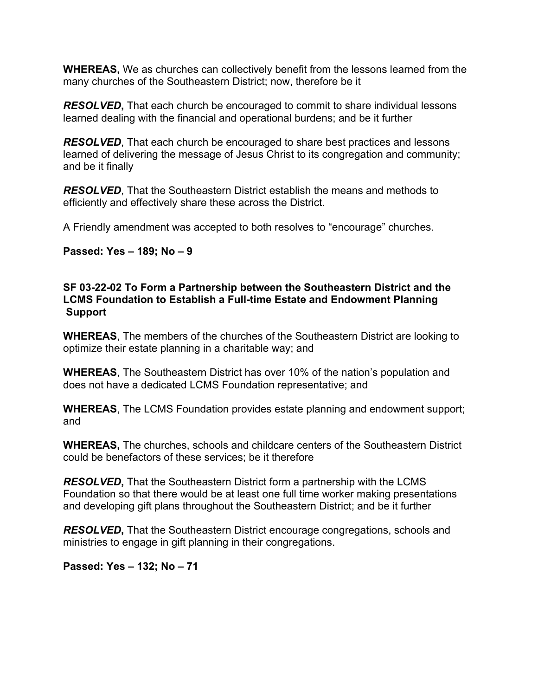**WHEREAS,** We as churches can collectively benefit from the lessons learned from the many churches of the Southeastern District; now, therefore be it

*RESOLVED***,** That each church be encouraged to commit to share individual lessons learned dealing with the financial and operational burdens; and be it further

*RESOLVED*, That each church be encouraged to share best practices and lessons learned of delivering the message of Jesus Christ to its congregation and community; and be it finally

*RESOLVED*, That the Southeastern District establish the means and methods to efficiently and effectively share these across the District.

A Friendly amendment was accepted to both resolves to "encourage" churches.

#### **Passed: Yes – 189; No – 9**

#### **SF 03-22-02 To Form a Partnership between the Southeastern District and the LCMS Foundation to Establish a Full-time Estate and Endowment Planning Support**

**WHEREAS**, The members of the churches of the Southeastern District are looking to optimize their estate planning in a charitable way; and

**WHEREAS**, The Southeastern District has over 10% of the nation's population and does not have a dedicated LCMS Foundation representative; and

**WHEREAS**, The LCMS Foundation provides estate planning and endowment support; and

**WHEREAS,** The churches, schools and childcare centers of the Southeastern District could be benefactors of these services; be it therefore

*RESOLVED***,** That the Southeastern District form a partnership with the LCMS Foundation so that there would be at least one full time worker making presentations and developing gift plans throughout the Southeastern District; and be it further

*RESOLVED***,** That the Southeastern District encourage congregations, schools and ministries to engage in gift planning in their congregations.

**Passed: Yes – 132; No – 71**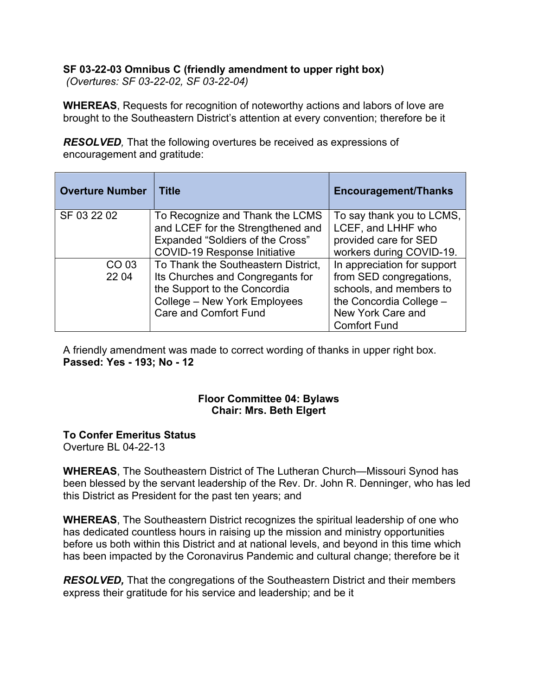# **SF 03-22-03 Omnibus C (friendly amendment to upper right box)**

*(Overtures: SF 03-22-02, SF 03-22-04)*

**WHEREAS**, Requests for recognition of noteworthy actions and labors of love are brought to the Southeastern District's attention at every convention; therefore be it

*RESOLVED,* That the following overtures be received as expressions of encouragement and gratitude:

| <b>Overture Number</b> | <b>Title</b>                            | <b>Encouragement/Thanks</b> |
|------------------------|-----------------------------------------|-----------------------------|
| SF 03 22 02            | To Recognize and Thank the LCMS         | To say thank you to LCMS,   |
|                        | and LCEF for the Strengthened and       | LCEF, and LHHF who          |
|                        | <b>Expanded "Soldiers of the Cross"</b> | provided care for SED       |
|                        | <b>COVID-19 Response Initiative</b>     | workers during COVID-19.    |
| CO 03                  | To Thank the Southeastern District,     | In appreciation for support |
| 22 04                  | Its Churches and Congregants for        | from SED congregations,     |
|                        | the Support to the Concordia            | schools, and members to     |
|                        | College - New York Employees            | the Concordia College -     |
|                        | <b>Care and Comfort Fund</b>            | New York Care and           |
|                        |                                         | <b>Comfort Fund</b>         |

A friendly amendment was made to correct wording of thanks in upper right box. **Passed: Yes - 193; No - 12**

### **Floor Committee 04: Bylaws Chair: Mrs. Beth Elgert**

## **To Confer Emeritus Status**

Overture BL 04-22-13

**WHEREAS**, The Southeastern District of The Lutheran Church—Missouri Synod has been blessed by the servant leadership of the Rev. Dr. John R. Denninger, who has led this District as President for the past ten years; and

**WHEREAS**, The Southeastern District recognizes the spiritual leadership of one who has dedicated countless hours in raising up the mission and ministry opportunities before us both within this District and at national levels, and beyond in this time which has been impacted by the Coronavirus Pandemic and cultural change; therefore be it

*RESOLVED,* That the congregations of the Southeastern District and their members express their gratitude for his service and leadership; and be it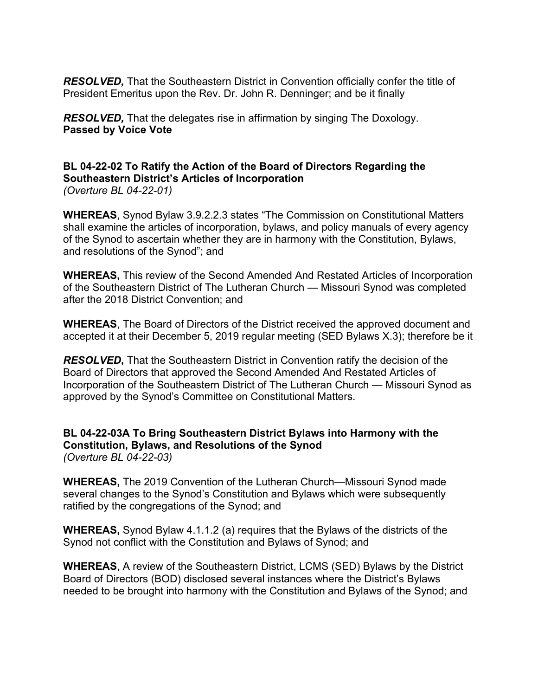*RESOLVED,* That the Southeastern District in Convention officially confer the title of President Emeritus upon the Rev. Dr. John R. Denninger; and be it finally

*RESOLVED,* That the delegates rise in affirmation by singing The Doxology. **Passed by Voice Vote**

# **BL 04-22-02 To Ratify the Action of the Board of Directors Regarding the Southeastern District's Articles of Incorporation**

*(Overture BL 04-22-01)*

**WHEREAS**, Synod Bylaw 3.9.2.2.3 states "The Commission on Constitutional Matters shall examine the articles of incorporation, bylaws, and policy manuals of every agency of the Synod to ascertain whether they are in harmony with the Constitution, Bylaws, and resolutions of the Synod"; and

**WHEREAS,** This review of the Second Amended And Restated Articles of Incorporation of the Southeastern District of The Lutheran Church — Missouri Synod was completed after the 2018 District Convention; and

**WHEREAS**, The Board of Directors of the District received the approved document and accepted it at their December 5, 2019 regular meeting (SED Bylaws X.3); therefore be it

*RESOLVED***,** That the Southeastern District in Convention ratify the decision of the Board of Directors that approved the Second Amended And Restated Articles of Incorporation of the Southeastern District of The Lutheran Church — Missouri Synod as approved by the Synod's Committee on Constitutional Matters.

**BL 04-22-03A To Bring Southeastern District Bylaws into Harmony with the Constitution, Bylaws, and Resolutions of the Synod** *(Overture BL 04-22-03)*

**WHEREAS,** The 2019 Convention of the Lutheran Church—Missouri Synod made several changes to the Synod's Constitution and Bylaws which were subsequently ratified by the congregations of the Synod; and

**WHEREAS,** Synod Bylaw 4.1.1.2 (a) requires that the Bylaws of the districts of the Synod not conflict with the Constitution and Bylaws of Synod; and

**WHEREAS**, A review of the Southeastern District, LCMS (SED) Bylaws by the District Board of Directors (BOD) disclosed several instances where the District's Bylaws needed to be brought into harmony with the Constitution and Bylaws of the Synod; and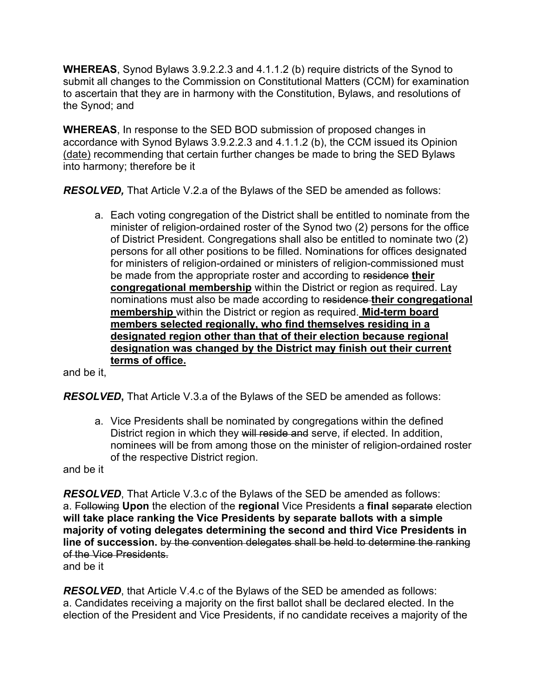**WHEREAS**, Synod Bylaws 3.9.2.2.3 and 4.1.1.2 (b) require districts of the Synod to submit all changes to the Commission on Constitutional Matters (CCM) for examination to ascertain that they are in harmony with the Constitution, Bylaws, and resolutions of the Synod; and

**WHEREAS**, In response to the SED BOD submission of proposed changes in accordance with Synod Bylaws 3.9.2.2.3 and 4.1.1.2 (b), the CCM issued its Opinion (date) recommending that certain further changes be made to bring the SED Bylaws into harmony; therefore be it

*RESOLVED,* That Article V.2.a of the Bylaws of the SED be amended as follows:

a. Each voting congregation of the District shall be entitled to nominate from the minister of religion-ordained roster of the Synod two (2) persons for the office of District President. Congregations shall also be entitled to nominate two (2) persons for all other positions to be filled. Nominations for offices designated for ministers of religion-ordained or ministers of religion-commissioned must be made from the appropriate roster and according to residence **their congregational membership** within the District or region as required. Lay nominations must also be made according to residence **their congregational membership** within the District or region as required. **Mid-term board members selected regionally, who find themselves residing in a designated region other than that of their election because regional designation was changed by the District may finish out their current terms of office.**

and be it,

*RESOLVED***,** That Article V.3.a of the Bylaws of the SED be amended as follows:

a. Vice Presidents shall be nominated by congregations within the defined District region in which they will reside and serve, if elected. In addition, nominees will be from among those on the minister of religion-ordained roster of the respective District region.

and be it

*RESOLVED*, That Article V.3.c of the Bylaws of the SED be amended as follows: a. Following **Upon** the election of the **regional** Vice Presidents a **final** separate election **will take place ranking the Vice Presidents by separate ballots with a simple majority of voting delegates determining the second and third Vice Presidents in line of succession.** by the convention delegates shall be held to determine the ranking of the Vice Presidents.

and be it

**RESOLVED**, that Article V.4.c of the Bylaws of the SED be amended as follows: a. Candidates receiving a majority on the first ballot shall be declared elected. In the election of the President and Vice Presidents, if no candidate receives a majority of the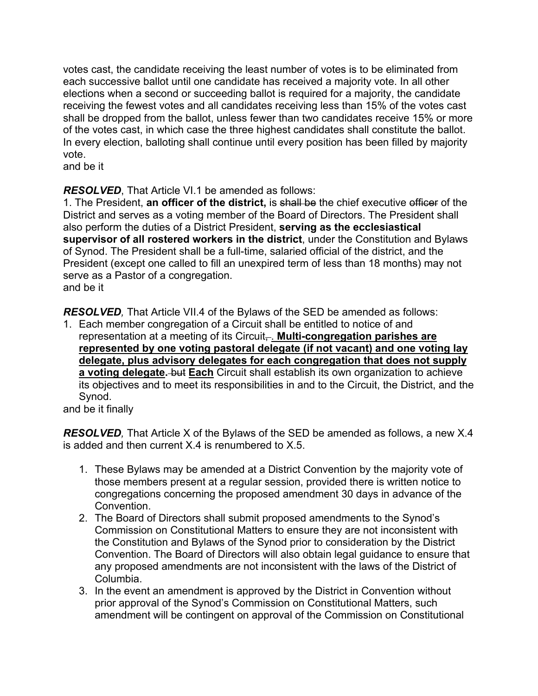votes cast, the candidate receiving the least number of votes is to be eliminated from each successive ballot until one candidate has received a majority vote. In all other elections when a second or succeeding ballot is required for a majority, the candidate receiving the fewest votes and all candidates receiving less than 15% of the votes cast shall be dropped from the ballot, unless fewer than two candidates receive 15% or more of the votes cast, in which case the three highest candidates shall constitute the ballot. In every election, balloting shall continue until every position has been filled by majority vote.

and be it

*RESOLVED*, That Article VI.1 be amended as follows:

1. The President, **an officer of the district,** is shall be the chief executive officer of the District and serves as a voting member of the Board of Directors. The President shall also perform the duties of a District President, **serving as the ecclesiastical supervisor of all rostered workers in the district**, under the Constitution and Bylaws of Synod. The President shall be a full-time, salaried official of the district, and the President (except one called to fill an unexpired term of less than 18 months) may not serve as a Pastor of a congregation. and be it

*RESOLVED,* That Article VII.4 of the Bylaws of the SED be amended as follows:

1. Each member congregation of a Circuit shall be entitled to notice of and representation at a meeting of its Circuit<sub></sub>. **Multi-congregation parishes are represented by one voting pastoral delegate (if not vacant) and one voting lay delegate, plus advisory delegates for each congregation that does not supply a voting delegate.** but **Each** Circuit shall establish its own organization to achieve its objectives and to meet its responsibilities in and to the Circuit, the District, and the Synod.

and be it finally

*RESOLVED,* That Article X of the Bylaws of the SED be amended as follows, a new X.4 is added and then current X.4 is renumbered to X.5.

- 1. These Bylaws may be amended at a District Convention by the majority vote of those members present at a regular session, provided there is written notice to congregations concerning the proposed amendment 30 days in advance of the Convention.
- 2. The Board of Directors shall submit proposed amendments to the Synod's Commission on Constitutional Matters to ensure they are not inconsistent with the Constitution and Bylaws of the Synod prior to consideration by the District Convention. The Board of Directors will also obtain legal guidance to ensure that any proposed amendments are not inconsistent with the laws of the District of Columbia.
- 3. In the event an amendment is approved by the District in Convention without prior approval of the Synod's Commission on Constitutional Matters, such amendment will be contingent on approval of the Commission on Constitutional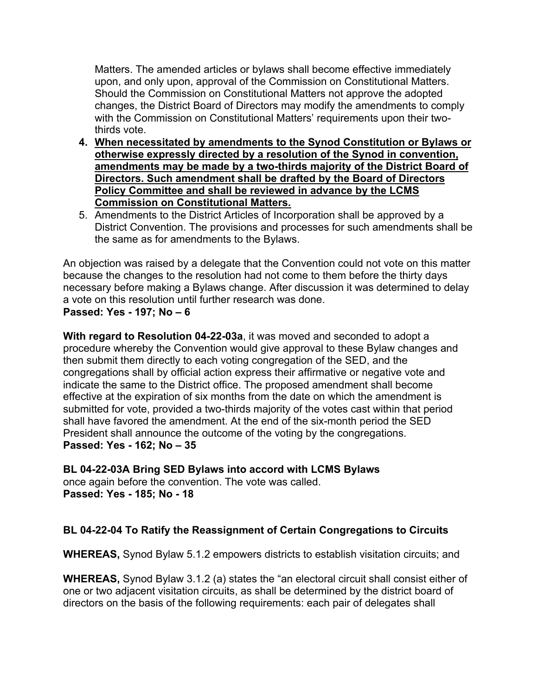Matters. The amended articles or bylaws shall become effective immediately upon, and only upon, approval of the Commission on Constitutional Matters. Should the Commission on Constitutional Matters not approve the adopted changes, the District Board of Directors may modify the amendments to comply with the Commission on Constitutional Matters' requirements upon their twothirds vote.

- **4. When necessitated by amendments to the Synod Constitution or Bylaws or otherwise expressly directed by a resolution of the Synod in convention, amendments may be made by a two-thirds majority of the District Board of Directors. Such amendment shall be drafted by the Board of Directors Policy Committee and shall be reviewed in advance by the LCMS Commission on Constitutional Matters.**
- 5. Amendments to the District Articles of Incorporation shall be approved by a District Convention. The provisions and processes for such amendments shall be the same as for amendments to the Bylaws.

An objection was raised by a delegate that the Convention could not vote on this matter because the changes to the resolution had not come to them before the thirty days necessary before making a Bylaws change. After discussion it was determined to delay a vote on this resolution until further research was done. **Passed: Yes - 197; No – 6**

**With regard to Resolution 04-22-03a**, it was moved and seconded to adopt a procedure whereby the Convention would give approval to these Bylaw changes and then submit them directly to each voting congregation of the SED, and the congregations shall by official action express their affirmative or negative vote and indicate the same to the District office. The proposed amendment shall become effective at the expiration of six months from the date on which the amendment is submitted for vote, provided a two-thirds majority of the votes cast within that period shall have favored the amendment. At the end of the six-month period the SED President shall announce the outcome of the voting by the congregations. **Passed: Yes - 162; No – 35**

**BL 04-22-03A Bring SED Bylaws into accord with LCMS Bylaws** once again before the convention. The vote was called.

**Passed: Yes - 185; No - 18**

# **BL 04-22-04 To Ratify the Reassignment of Certain Congregations to Circuits**

**WHEREAS,** Synod Bylaw 5.1.2 empowers districts to establish visitation circuits; and

**WHEREAS,** Synod Bylaw 3.1.2 (a) states the "an electoral circuit shall consist either of one or two adjacent visitation circuits, as shall be determined by the district board of directors on the basis of the following requirements: each pair of delegates shall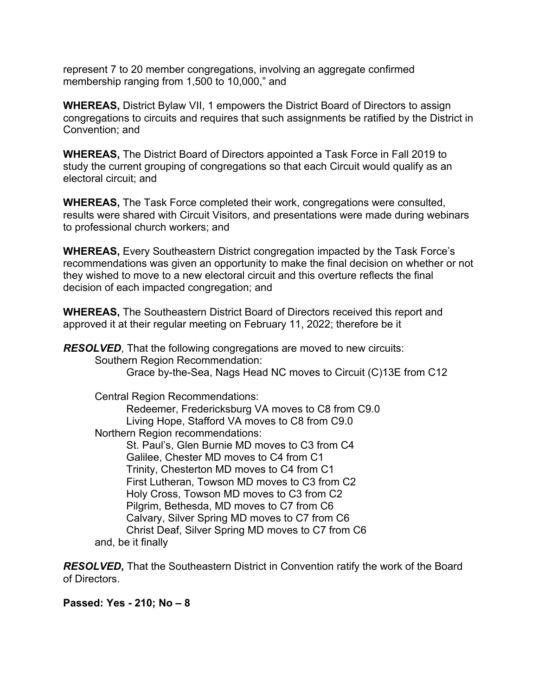represent 7 to 20 member congregations, involving an aggregate confirmed membership ranging from 1,500 to 10,000," and

**WHEREAS,** District Bylaw VII, 1 empowers the District Board of Directors to assign congregations to circuits and requires that such assignments be ratified by the District in Convention; and

**WHEREAS,** The District Board of Directors appointed a Task Force in Fall 2019 to study the current grouping of congregations so that each Circuit would qualify as an electoral circuit; and

**WHEREAS,** The Task Force completed their work, congregations were consulted, results were shared with Circuit Visitors, and presentations were made during webinars to professional church workers; and

**WHEREAS,** Every Southeastern District congregation impacted by the Task Force's recommendations was given an opportunity to make the final decision on whether or not they wished to move to a new electoral circuit and this overture reflects the final decision of each impacted congregation; and

**WHEREAS,** The Southeastern District Board of Directors received this report and approved it at their regular meeting on February 11, 2022; therefore be it

*RESOLVED*, That the following congregations are moved to new circuits: Southern Region Recommendation: Grace by-the-Sea, Nags Head NC moves to Circuit (C)13E from C12 Central Region Recommendations: Redeemer, Fredericksburg VA moves to C8 from C9.0 Living Hope, Stafford VA moves to C8 from C9.0 Northern Region recommendations: St. Paul's, Glen Burnie MD moves to C3 from C4 Galilee, Chester MD moves to C4 from C1 Trinity, Chesterton MD moves to C4 from C1 First Lutheran, Towson MD moves to C3 from C2 Holy Cross, Towson MD moves to C3 from C2 Pilgrim, Bethesda, MD moves to C7 from C6 Calvary, Silver Spring MD moves to C7 from C6 Christ Deaf, Silver Spring MD moves to C7 from C6 and, be it finally

*RESOLVED***,** That the Southeastern District in Convention ratify the work of the Board of Directors.

**Passed: Yes - 210; No – 8**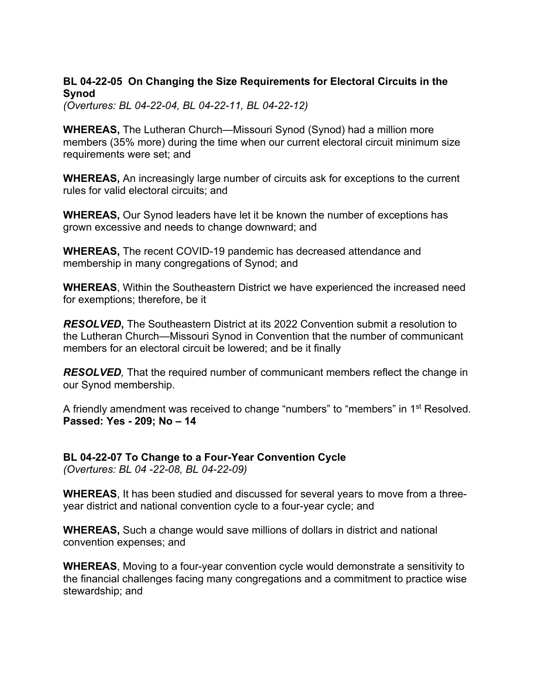### **BL 04-22-05 On Changing the Size Requirements for Electoral Circuits in the Synod**

*(Overtures: BL 04-22-04, BL 04-22-11, BL 04-22-12)*

**WHEREAS,** The Lutheran Church—Missouri Synod (Synod) had a million more members (35% more) during the time when our current electoral circuit minimum size requirements were set; and

**WHEREAS,** An increasingly large number of circuits ask for exceptions to the current rules for valid electoral circuits; and

**WHEREAS,** Our Synod leaders have let it be known the number of exceptions has grown excessive and needs to change downward; and

**WHEREAS,** The recent COVID-19 pandemic has decreased attendance and membership in many congregations of Synod; and

**WHEREAS**, Within the Southeastern District we have experienced the increased need for exemptions; therefore, be it

*RESOLVED***,** The Southeastern District at its 2022 Convention submit a resolution to the Lutheran Church—Missouri Synod in Convention that the number of communicant members for an electoral circuit be lowered; and be it finally

*RESOLVED,* That the required number of communicant members reflect the change in our Synod membership.

A friendly amendment was received to change "numbers" to "members" in 1<sup>st</sup> Resolved. **Passed: Yes - 209; No – 14**

**BL 04-22-07 To Change to a Four-Year Convention Cycle** *(Overtures: BL 04 -22-08, BL 04-22-09)*

**WHEREAS**, It has been studied and discussed for several years to move from a threeyear district and national convention cycle to a four-year cycle; and

**WHEREAS,** Such a change would save millions of dollars in district and national convention expenses; and

**WHEREAS**, Moving to a four-year convention cycle would demonstrate a sensitivity to the financial challenges facing many congregations and a commitment to practice wise stewardship; and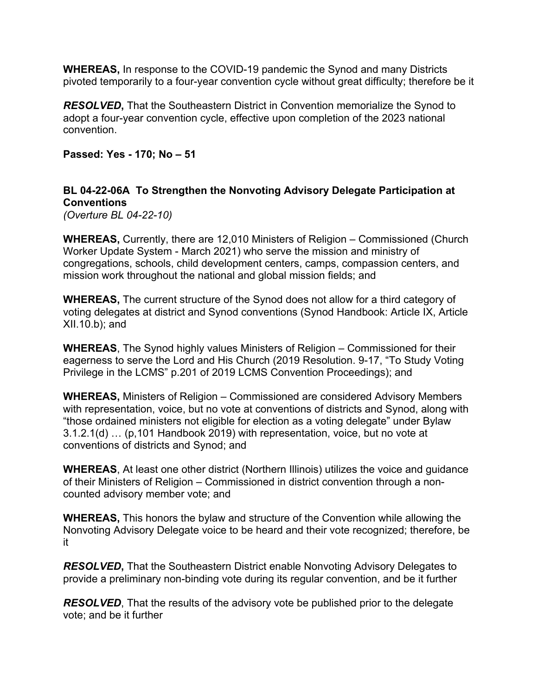**WHEREAS,** In response to the COVID-19 pandemic the Synod and many Districts pivoted temporarily to a four-year convention cycle without great difficulty; therefore be it

*RESOLVED***,** That the Southeastern District in Convention memorialize the Synod to adopt a four-year convention cycle, effective upon completion of the 2023 national convention.

**Passed: Yes - 170; No – 51**

## **BL 04-22-06A To Strengthen the Nonvoting Advisory Delegate Participation at Conventions**

*(Overture BL 04-22-10)*

**WHEREAS,** Currently, there are 12,010 Ministers of Religion – Commissioned (Church Worker Update System - March 2021) who serve the mission and ministry of congregations, schools, child development centers, camps, compassion centers, and mission work throughout the national and global mission fields; and

**WHEREAS,** The current structure of the Synod does not allow for a third category of voting delegates at district and Synod conventions (Synod Handbook: Article IX, Article XII.10.b); and

**WHEREAS**, The Synod highly values Ministers of Religion – Commissioned for their eagerness to serve the Lord and His Church (2019 Resolution. 9-17, "To Study Voting Privilege in the LCMS" p.201 of 2019 LCMS Convention Proceedings); and

**WHEREAS,** Ministers of Religion – Commissioned are considered Advisory Members with representation, voice, but no vote at conventions of districts and Synod, along with "those ordained ministers not eligible for election as a voting delegate" under Bylaw 3.1.2.1(d) … (p,101 Handbook 2019) with representation, voice, but no vote at conventions of districts and Synod; and

**WHEREAS**, At least one other district (Northern Illinois) utilizes the voice and guidance of their Ministers of Religion – Commissioned in district convention through a noncounted advisory member vote; and

**WHEREAS,** This honors the bylaw and structure of the Convention while allowing the Nonvoting Advisory Delegate voice to be heard and their vote recognized; therefore, be it

*RESOLVED***,** That the Southeastern District enable Nonvoting Advisory Delegates to provide a preliminary non-binding vote during its regular convention, and be it further

*RESOLVED*, That the results of the advisory vote be published prior to the delegate vote; and be it further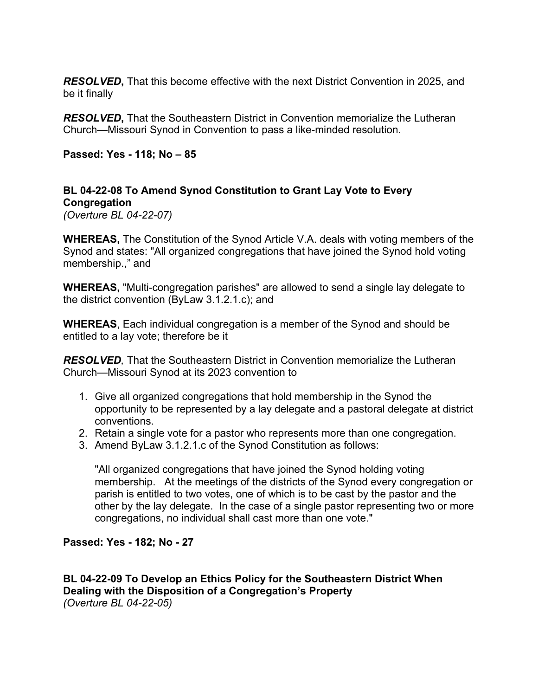*RESOLVED***,** That this become effective with the next District Convention in 2025, and be it finally

*RESOLVED***,** That the Southeastern District in Convention memorialize the Lutheran Church—Missouri Synod in Convention to pass a like-minded resolution.

**Passed: Yes - 118; No – 85**

# **BL 04-22-08 To Amend Synod Constitution to Grant Lay Vote to Every Congregation**

*(Overture BL 04-22-07)*

**WHEREAS,** The Constitution of the Synod Article V.A. deals with voting members of the Synod and states: "All organized congregations that have joined the Synod hold voting membership.," and

**WHEREAS,** "Multi-congregation parishes" are allowed to send a single lay delegate to the district convention (ByLaw 3.1.2.1.c); and

**WHEREAS**, Each individual congregation is a member of the Synod and should be entitled to a lay vote; therefore be it

*RESOLVED,* That the Southeastern District in Convention memorialize the Lutheran Church—Missouri Synod at its 2023 convention to

- 1. Give all organized congregations that hold membership in the Synod the opportunity to be represented by a lay delegate and a pastoral delegate at district conventions.
- 2. Retain a single vote for a pastor who represents more than one congregation.
- 3. Amend ByLaw 3.1.2.1.c of the Synod Constitution as follows:

"All organized congregations that have joined the Synod holding voting membership. At the meetings of the districts of the Synod every congregation or parish is entitled to two votes, one of which is to be cast by the pastor and the other by the lay delegate. In the case of a single pastor representing two or more congregations, no individual shall cast more than one vote."

## **Passed: Yes - 182; No - 27**

**BL 04-22-09 To Develop an Ethics Policy for the Southeastern District When Dealing with the Disposition of a Congregation's Property** *(Overture BL 04-22-05)*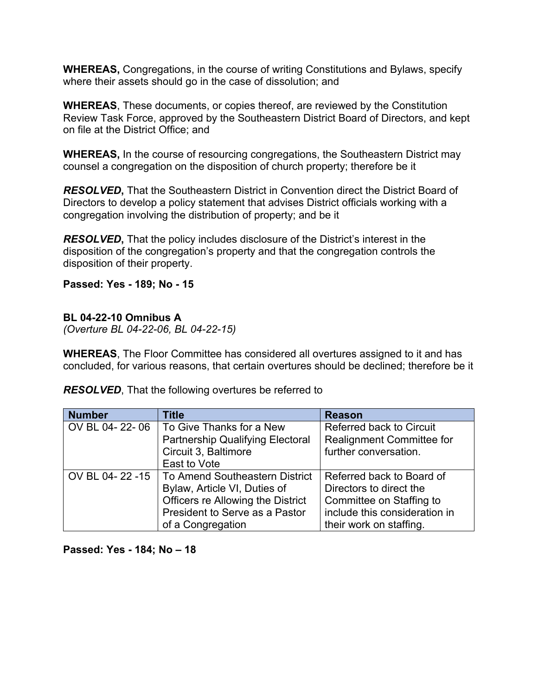**WHEREAS,** Congregations, in the course of writing Constitutions and Bylaws, specify where their assets should go in the case of dissolution; and

**WHEREAS**, These documents, or copies thereof, are reviewed by the Constitution Review Task Force, approved by the Southeastern District Board of Directors, and kept on file at the District Office; and

**WHEREAS,** In the course of resourcing congregations, the Southeastern District may counsel a congregation on the disposition of church property; therefore be it

*RESOLVED***,** That the Southeastern District in Convention direct the District Board of Directors to develop a policy statement that advises District officials working with a congregation involving the distribution of property; and be it

*RESOLVED***,** That the policy includes disclosure of the District's interest in the disposition of the congregation's property and that the congregation controls the disposition of their property.

**Passed: Yes - 189; No - 15**

#### **BL 04-22-10 Omnibus A**

*(Overture BL 04-22-06, BL 04-22-15)*

**WHEREAS**, The Floor Committee has considered all overtures assigned to it and has concluded, for various reasons, that certain overtures should be declined; therefore be it

| <b>Number</b>  | <b>Title</b>                            | <b>Reason</b>                    |
|----------------|-----------------------------------------|----------------------------------|
| OV BL 04-22-06 | To Give Thanks for a New                | <b>Referred back to Circuit</b>  |
|                | <b>Partnership Qualifying Electoral</b> | <b>Realignment Committee for</b> |
|                | Circuit 3, Baltimore                    | further conversation.            |
|                | East to Vote                            |                                  |
| OV BL 04-22-15 | <b>To Amend Southeastern District</b>   | Referred back to Board of        |
|                | Bylaw, Article VI, Duties of            | Directors to direct the          |
|                | Officers re Allowing the District       | Committee on Staffing to         |
|                | President to Serve as a Pastor          | include this consideration in    |
|                | of a Congregation                       | their work on staffing.          |

*RESOLVED*, That the following overtures be referred to

#### **Passed: Yes - 184; No – 18**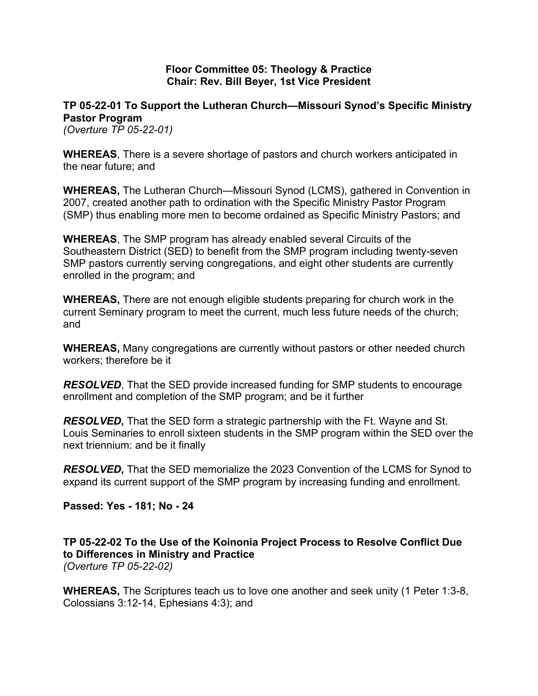#### **Floor Committee 05: Theology & Practice Chair: Rev. Bill Beyer, 1st Vice President**

## **TP 05-22-01 To Support the Lutheran Church—Missouri Synod's Specific Ministry Pastor Program**

*(Overture TP 05-22-01)*

**WHEREAS**, There is a severe shortage of pastors and church workers anticipated in the near future; and

**WHEREAS,** The Lutheran Church—Missouri Synod (LCMS), gathered in Convention in 2007, created another path to ordination with the Specific Ministry Pastor Program (SMP) thus enabling more men to become ordained as Specific Ministry Pastors; and

**WHEREAS**, The SMP program has already enabled several Circuits of the Southeastern District (SED) to benefit from the SMP program including twenty-seven SMP pastors currently serving congregations, and eight other students are currently enrolled in the program; and

**WHEREAS,** There are not enough eligible students preparing for church work in the current Seminary program to meet the current, much less future needs of the church; and

**WHEREAS,** Many congregations are currently without pastors or other needed church workers; therefore be it

*RESOLVED*, That the SED provide increased funding for SMP students to encourage enrollment and completion of the SMP program; and be it further

*RESOLVED***,** That the SED form a strategic partnership with the Ft. Wayne and St. Louis Seminaries to enroll sixteen students in the SMP program within the SED over the next triennium: and be it finally

*RESOLVED***,** That the SED memorialize the 2023 Convention of the LCMS for Synod to expand its current support of the SMP program by increasing funding and enrollment.

**Passed: Yes - 181; No - 24**

**TP 05-22-02 To the Use of the Koinonia Project Process to Resolve Conflict Due to Differences in Ministry and Practice**

*(Overture TP 05-22-02)*

**WHEREAS,** The Scriptures teach us to love one another and seek unity (1 Peter 1:3-8, Colossians 3:12-14, Ephesians 4:3); and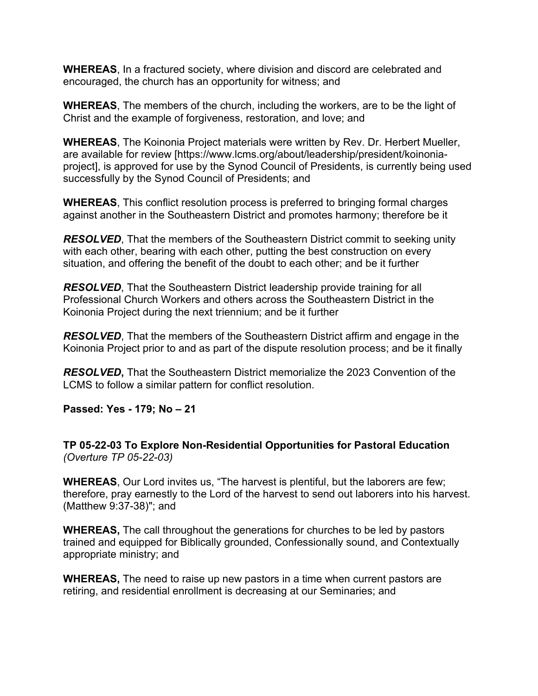**WHEREAS**, In a fractured society, where division and discord are celebrated and encouraged, the church has an opportunity for witness; and

**WHEREAS**, The members of the church, including the workers, are to be the light of Christ and the example of forgiveness, restoration, and love; and

**WHEREAS**, The Koinonia Project materials were written by Rev. Dr. Herbert Mueller, are available for review [https://www.lcms.org/about/leadership/president/koinoniaproject], is approved for use by the Synod Council of Presidents, is currently being used successfully by the Synod Council of Presidents; and

**WHEREAS**, This conflict resolution process is preferred to bringing formal charges against another in the Southeastern District and promotes harmony; therefore be it

*RESOLVED*, That the members of the Southeastern District commit to seeking unity with each other, bearing with each other, putting the best construction on every situation, and offering the benefit of the doubt to each other; and be it further

*RESOLVED*, That the Southeastern District leadership provide training for all Professional Church Workers and others across the Southeastern District in the Koinonia Project during the next triennium; and be it further

*RESOLVED*, That the members of the Southeastern District affirm and engage in the Koinonia Project prior to and as part of the dispute resolution process; and be it finally

*RESOLVED***,** That the Southeastern District memorialize the 2023 Convention of the LCMS to follow a similar pattern for conflict resolution.

**Passed: Yes - 179; No – 21**

**TP 05-22-03 To Explore Non-Residential Opportunities for Pastoral Education** *(Overture TP 05-22-03)*

**WHEREAS**, Our Lord invites us, "The harvest is plentiful, but the laborers are few; therefore, pray earnestly to the Lord of the harvest to send out laborers into his harvest. (Matthew 9:37-38)"; and

**WHEREAS,** The call throughout the generations for churches to be led by pastors trained and equipped for Biblically grounded, Confessionally sound, and Contextually appropriate ministry; and

**WHEREAS,** The need to raise up new pastors in a time when current pastors are retiring, and residential enrollment is decreasing at our Seminaries; and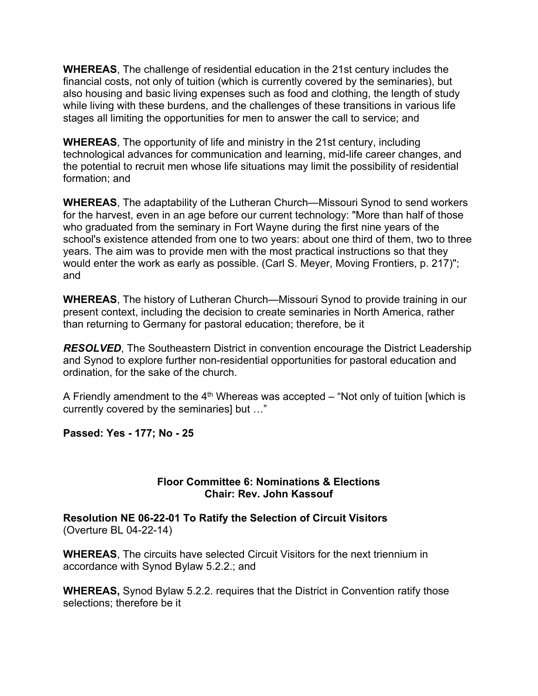**WHEREAS**, The challenge of residential education in the 21st century includes the financial costs, not only of tuition (which is currently covered by the seminaries), but also housing and basic living expenses such as food and clothing, the length of study while living with these burdens, and the challenges of these transitions in various life stages all limiting the opportunities for men to answer the call to service; and

**WHEREAS**, The opportunity of life and ministry in the 21st century, including technological advances for communication and learning, mid-life career changes, and the potential to recruit men whose life situations may limit the possibility of residential formation; and

**WHEREAS**, The adaptability of the Lutheran Church—Missouri Synod to send workers for the harvest, even in an age before our current technology: "More than half of those who graduated from the seminary in Fort Wayne during the first nine years of the school's existence attended from one to two years: about one third of them, two to three years. The aim was to provide men with the most practical instructions so that they would enter the work as early as possible. (Carl S. Meyer, Moving Frontiers, p. 217)"; and

**WHEREAS**, The history of Lutheran Church—Missouri Synod to provide training in our present context, including the decision to create seminaries in North America, rather than returning to Germany for pastoral education; therefore, be it

*RESOLVED*, The Southeastern District in convention encourage the District Leadership and Synod to explore further non-residential opportunities for pastoral education and ordination, for the sake of the church.

A Friendly amendment to the  $4<sup>th</sup>$  Whereas was accepted – "Not only of tuition [which is currently covered by the seminaries] but …"

**Passed: Yes - 177; No - 25**

#### **Floor Committee 6: Nominations & Elections Chair: Rev. John Kassouf**

**Resolution NE 06-22-01 To Ratify the Selection of Circuit Visitors** (Overture BL 04-22-14)

**WHEREAS**, The circuits have selected Circuit Visitors for the next triennium in accordance with Synod Bylaw 5.2.2.; and

**WHEREAS,** Synod Bylaw 5.2.2. requires that the District in Convention ratify those selections; therefore be it